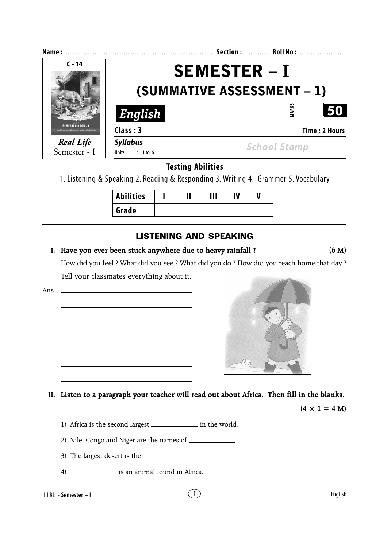| Name:                     |                                     | Section:  Roll No:   |  |  |
|---------------------------|-------------------------------------|----------------------|--|--|
| $C - 14$                  | <b>SEMESTER - I</b>                 |                      |  |  |
|                           | <b>(SUMMATIVE ASSESSMENT – 1)</b>   |                      |  |  |
|                           | English                             | <b>MARK</b><br>50    |  |  |
| SEMESTER BOOK – I         | Class: 3                            | <b>Time: 2 Hours</b> |  |  |
| Real Life<br>Semester - I | <b>Syllabus</b><br>Units $: 1$ to 6 | <b>School Stamp</b>  |  |  |

**Testing Abilities**

1. Listening & Speaking 2. Reading & Responding 3. Writing 4. Grammer 5. Vocabulary

| <b>Abilities</b> |  | Ш | IV |  |
|------------------|--|---|----|--|
| Grade            |  |   |    |  |

## **LISTENING AND SPEAKING**

## **I. Have you ever been stuck anywhere due to heavy rainfall ? (6 M)**

How did you feel ? What did you see ? What did you do ? How did you reach home that day ? Tell your classmates everything about it.

Ans. **II. Listen to a paragraph your teacher will read out about Africa. Then fill in the blanks.**  $(4 \times 1 = 4 M)$ 

1) Africa is the second largest \_\_\_\_\_\_\_\_\_\_\_\_\_\_\_\_ in the world.

2) Nile, Congo and Niger are the names of

- 3) The largest desert is the
- 4) is an animal found in Africa.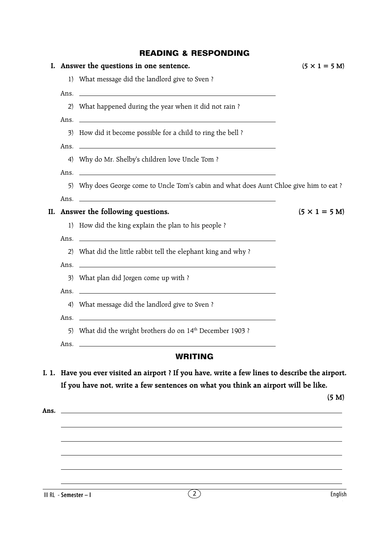## **READING & RESPONDING**

| 1) What message did the landlord give to Sven?<br>Ans. $\overline{\phantom{a}}$<br>2) What happened during the year when it did not rain?<br>3) How did it become possible for a child to ring the bell ?<br>Ans. $\overline{\phantom{a}}$ |                                                                                                                                                                                                                                                                                                                                                                                                                                                                                                                                                                                                                                                                                                                                                                                                                                                                                                                                            |
|--------------------------------------------------------------------------------------------------------------------------------------------------------------------------------------------------------------------------------------------|--------------------------------------------------------------------------------------------------------------------------------------------------------------------------------------------------------------------------------------------------------------------------------------------------------------------------------------------------------------------------------------------------------------------------------------------------------------------------------------------------------------------------------------------------------------------------------------------------------------------------------------------------------------------------------------------------------------------------------------------------------------------------------------------------------------------------------------------------------------------------------------------------------------------------------------------|
|                                                                                                                                                                                                                                            |                                                                                                                                                                                                                                                                                                                                                                                                                                                                                                                                                                                                                                                                                                                                                                                                                                                                                                                                            |
|                                                                                                                                                                                                                                            |                                                                                                                                                                                                                                                                                                                                                                                                                                                                                                                                                                                                                                                                                                                                                                                                                                                                                                                                            |
|                                                                                                                                                                                                                                            |                                                                                                                                                                                                                                                                                                                                                                                                                                                                                                                                                                                                                                                                                                                                                                                                                                                                                                                                            |
|                                                                                                                                                                                                                                            |                                                                                                                                                                                                                                                                                                                                                                                                                                                                                                                                                                                                                                                                                                                                                                                                                                                                                                                                            |
|                                                                                                                                                                                                                                            |                                                                                                                                                                                                                                                                                                                                                                                                                                                                                                                                                                                                                                                                                                                                                                                                                                                                                                                                            |
| 4) Why do Mr. Shelby's children love Uncle Tom?                                                                                                                                                                                            |                                                                                                                                                                                                                                                                                                                                                                                                                                                                                                                                                                                                                                                                                                                                                                                                                                                                                                                                            |
|                                                                                                                                                                                                                                            |                                                                                                                                                                                                                                                                                                                                                                                                                                                                                                                                                                                                                                                                                                                                                                                                                                                                                                                                            |
|                                                                                                                                                                                                                                            |                                                                                                                                                                                                                                                                                                                                                                                                                                                                                                                                                                                                                                                                                                                                                                                                                                                                                                                                            |
|                                                                                                                                                                                                                                            | $(5 \times 1 = 5 M)$                                                                                                                                                                                                                                                                                                                                                                                                                                                                                                                                                                                                                                                                                                                                                                                                                                                                                                                       |
|                                                                                                                                                                                                                                            |                                                                                                                                                                                                                                                                                                                                                                                                                                                                                                                                                                                                                                                                                                                                                                                                                                                                                                                                            |
|                                                                                                                                                                                                                                            |                                                                                                                                                                                                                                                                                                                                                                                                                                                                                                                                                                                                                                                                                                                                                                                                                                                                                                                                            |
|                                                                                                                                                                                                                                            |                                                                                                                                                                                                                                                                                                                                                                                                                                                                                                                                                                                                                                                                                                                                                                                                                                                                                                                                            |
|                                                                                                                                                                                                                                            |                                                                                                                                                                                                                                                                                                                                                                                                                                                                                                                                                                                                                                                                                                                                                                                                                                                                                                                                            |
|                                                                                                                                                                                                                                            |                                                                                                                                                                                                                                                                                                                                                                                                                                                                                                                                                                                                                                                                                                                                                                                                                                                                                                                                            |
|                                                                                                                                                                                                                                            |                                                                                                                                                                                                                                                                                                                                                                                                                                                                                                                                                                                                                                                                                                                                                                                                                                                                                                                                            |
|                                                                                                                                                                                                                                            |                                                                                                                                                                                                                                                                                                                                                                                                                                                                                                                                                                                                                                                                                                                                                                                                                                                                                                                                            |
|                                                                                                                                                                                                                                            |                                                                                                                                                                                                                                                                                                                                                                                                                                                                                                                                                                                                                                                                                                                                                                                                                                                                                                                                            |
|                                                                                                                                                                                                                                            |                                                                                                                                                                                                                                                                                                                                                                                                                                                                                                                                                                                                                                                                                                                                                                                                                                                                                                                                            |
| <b>WRITING</b>                                                                                                                                                                                                                             |                                                                                                                                                                                                                                                                                                                                                                                                                                                                                                                                                                                                                                                                                                                                                                                                                                                                                                                                            |
|                                                                                                                                                                                                                                            | (5 M)                                                                                                                                                                                                                                                                                                                                                                                                                                                                                                                                                                                                                                                                                                                                                                                                                                                                                                                                      |
|                                                                                                                                                                                                                                            | Ans. $\overline{\phantom{a}}$<br>5) Why does George come to Uncle Tom's cabin and what does Aunt Chloe give him to eat?<br>II. Answer the following questions.<br>1) How did the king explain the plan to his people ?<br>Ans. <u>The contract of the contract of the contract of the contract of the contract of the contract of the contract of the contract of the contract of the contract of the contract of the contract of the contract of the cont</u><br>2) What did the little rabbit tell the elephant king and why?<br>Ans. $\overline{\phantom{a}}$<br>3) What plan did Jorgen come up with ?<br>Ans.<br>4) What message did the landlord give to Sven?<br>Ans.<br>5) What did the wright brothers do on 14th December 1903?<br>Ans.<br>I. 1. Have you ever visited an airport ? If you have, write a few lines to describe the airport.<br>If you have not, write a few sentences on what you think an airport will be like. |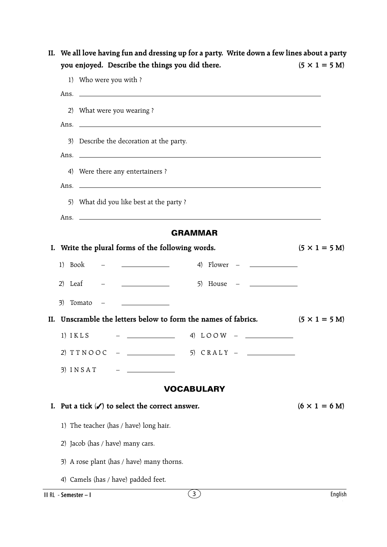| you enjoyed. Describe the things you did there.                |                                       | $(5 \times 1 = 5 \text{ M})$ |
|----------------------------------------------------------------|---------------------------------------|------------------------------|
| 1) Who were you with ?                                         |                                       |                              |
| Ans. $\Box$                                                    |                                       |                              |
| 2) What were you wearing?                                      |                                       |                              |
| 3) Describe the decoration at the party.                       |                                       |                              |
| Ans. $\overline{\phantom{a}}$                                  |                                       |                              |
| 4) Were there any entertainers ?                               |                                       |                              |
|                                                                |                                       |                              |
| 5) What did you like best at the party?                        |                                       |                              |
|                                                                |                                       |                              |
|                                                                | <b>GRAMMAR</b>                        |                              |
| I. Write the plural forms of the following words.              |                                       | $(5 \times 1 = 5 M)$         |
| 1) Book                                                        |                                       |                              |
| 2) Leaf                                                        |                                       |                              |
| 3) Tomato<br><u> 1989 - Johann Stein, mars an Franc</u>        |                                       |                              |
| II. Unscramble the letters below to form the names of fabrics. |                                       | $(5 \times 1 = 5$ M)         |
| $1)$ $I K L S$                                                 | $\frac{1}{2}$ 4) LOOW - $\frac{1}{2}$ |                              |
| 2) TTNOOC<br><u> 1980 - Jan Barnett, fransk politiker</u>      | 5) CRALY                              |                              |
| $3)$ INSAT                                                     |                                       |                              |
|                                                                | <b>VOCABULARY</b>                     |                              |
| Put a tick $(\checkmark)$ to select the correct answer.<br>L.  |                                       | $(6 \times 1 = 6$ M)         |
| 1) The teacher (has / have) long hair.                         |                                       |                              |
| 2) Jacob (has / have) many cars.                               |                                       |                              |
| 3) A rose plant (has / have) many thorns.                      |                                       |                              |
| 4) Camels (has / have) padded feet.                            |                                       |                              |
| III RL - Semester - I                                          | (3)                                   | English                      |